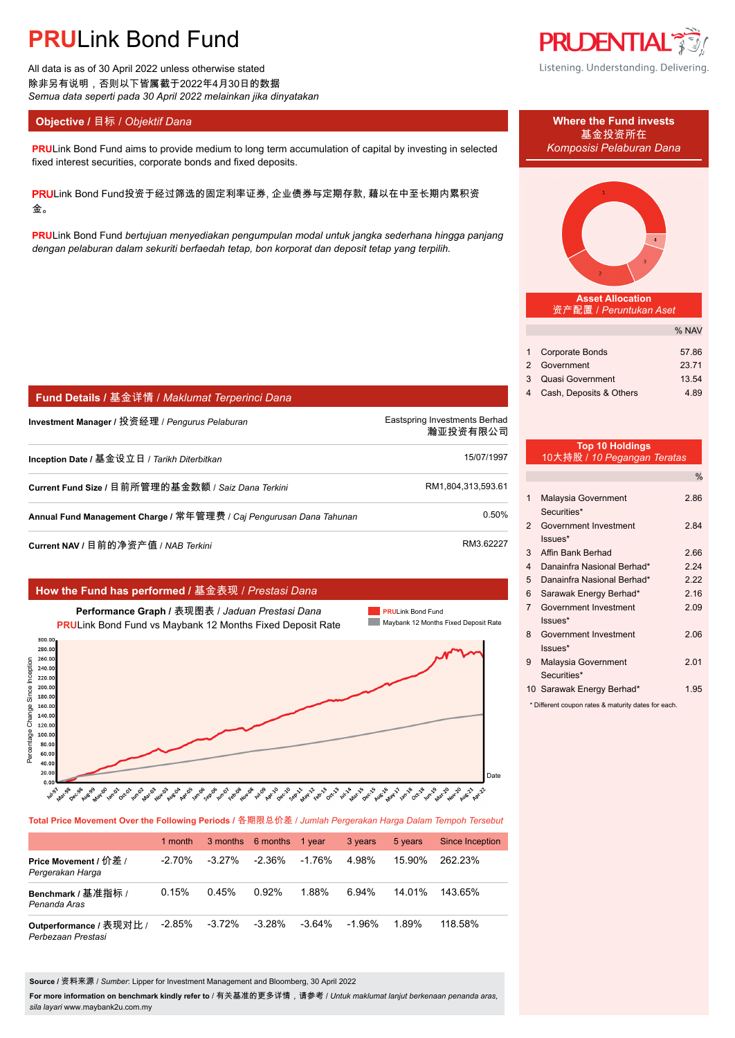All data is as of 30 April 2022 unless otherwise stated 除非另有说明,否则以下皆属截于2022年4月30日的数据 *Semua data seperti pada 30 April 2022 melainkan jika dinyatakan*

### **Objective / 目标 /** *Objektif Dana* **Where the Fund invests</u>**

**PRULink Bond Fund aims to provide medium to long term accumulation of capital by investing in selected** *Komposisi Pelaburan Dana* fixed interest securities, corporate bonds and fixed deposits.

PRULink Bond Fund投资于经过筛选的固定利率证券, 企业债券与定期存款, 藉以在中至长期内累积资 金。

**PRU**Link Bond Fund *bertujuan menyediakan pengumpulan modal untuk jangka sederhana hingga panjang dengan pelaburan dalam sekuriti berfaedah tetap, bon korporat dan deposit tetap yang terpilih.*

|                                                                                                                                                                                                                     | How the Fund has performed / 基金表现 / Prestasi Dana                                                                                                                                                                                                                                                                      |                                                                                                                                                        |
|---------------------------------------------------------------------------------------------------------------------------------------------------------------------------------------------------------------------|------------------------------------------------------------------------------------------------------------------------------------------------------------------------------------------------------------------------------------------------------------------------------------------------------------------------|--------------------------------------------------------------------------------------------------------------------------------------------------------|
|                                                                                                                                                                                                                     | Performance Graph / 表现图表 / Jaduan Prestasi Dana<br><b>PRULink Bond Fund vs Maybank 12 Months Fixed Deposit Rate</b>                                                                                                                                                                                                    | <b>PRULink Bond Fund</b><br>Maybank 12 Months Fixed Deposit Rate                                                                                       |
| 300.00<br>280.00<br>260.00<br>Since Inception<br>240.00<br>220.00<br>200.00<br>180.00<br>Change:<br>160.00<br>140.00<br>120.00<br>Percentage<br>100.00<br>80.00<br>60.00<br>40.00<br>20.00<br>0.00<br><b>hul</b> s? | <b>Aun-07 ceto de</b><br>Sepago<br>Novos<br><b>Which</b><br><b>Jan</b> -06<br>Apr-10<br>Dec-10<br>Febry<br>Augon<br><b>May-12</b><br>Oct-13<br><b>July 2</b><br>Aug.50<br><b>May</b> 00<br>Jun.02<br><b>Mario3</b><br><b>Nov</b> os<br>Aprilis<br>Decige<br>Sepill<br><b>Mar.9B</b><br><b>Jan</b> cos<br><b>Oct.01</b> | Date<br><b>Aug-16</b><br>Jan. 18<br>Octrle<br>Dec-15<br>Jun-19<br><b>Mar-20</b><br><b>Nov-20</b><br><b>Mar-15</b><br><b>May 17</b><br>Aug-21<br>Apr-22 |

### **Fund Details /** 基金详情 / *Maklumat Terperinci Dana*

**Investment Manager /** 投资经理 / *Pengurus Pelaburan* enter the manager of the Eastspring Investments Berhad.

**Inception Date /** 基金设立日 / *Tarikh Diterbitkan* 15/07/1997.

**Current Fund Size / 目前所管理的基金数额 / Saiz Dana Terkini RM1,804,313,593.61.** RM1,804,313,593.61

**Annual Fund Management Charge /** 常年管理费 / *Caj Pengurusan Dana Tahunan* 0.50%.

**Current NAV /** 目前的净资产值 / *NAB Terkini* RM3.62227

**Total Price Movement Over the Following Periods /** 各期限总价差 / *Jumlah Pergerakan Harga Dalam Tempoh Tersebut*

|                                               | 1 month   |           | 3 months 6 months 1 year |           | 3 years   | 5 years | Since Inception |
|-----------------------------------------------|-----------|-----------|--------------------------|-----------|-----------|---------|-----------------|
| Price Movement / 价差 /<br>Pergerakan Harga     | $-2.70%$  | $-3.27\%$ | $-2.36\%$                | $-1.76%$  | 4.98%     | 15.90%  | 262 23%         |
| Benchmark / 基准指标 /<br>Penanda Aras            | 0.15%     | 0.45%     | 0.92%                    | 1.88%     | 6.94%     | 14 01%  | 143.65%         |
| Outperformance / 表现对比 /<br>Perbezaan Prestasi | $-2.85\%$ | -3.72%    | $-3.28%$                 | $-3.64\%$ | $-1.96\%$ | 1.89%   | 118.58%         |

**Source /** 资料来源 / *Sumber*: Lipper for Investment Management and Bloomberg, 30 April 2022

**For more information on benchmark kindly refer to** / 有关基准的更多详情,请参考 / *Untuk maklumat lanjut berkenaan penanda aras, sila layari* www.maybank2u.com.my



Listening. Understanding. Delivering.

基金投资所在



**Asset Allocation** 资产配置 / *Peruntukan Aset*

|                           | % NAV |
|---------------------------|-------|
|                           |       |
| 1 Corporate Bonds         | 57.86 |
| 2 Government              | 23.71 |
| 3 Quasi Government        | 13.54 |
| 4 Cash, Deposits & Others | 4.89  |

### **Top 10 Holdings** 10大持股 / *10 Pegangan Teratas*

瀚亚投资有限公司.

|                |                                    | $\%$ |
|----------------|------------------------------------|------|
| 1              | Malaysia Government<br>Securities* | 2.86 |
| 2              | Government Investment<br>$lssues*$ | 2.84 |
| 3              | Affin Bank Berhad                  | 2.66 |
| $\overline{4}$ | Danainfra Nasional Berhad*         | 2.24 |
| 5              | Danainfra Nasional Berhad*         | 2.22 |
| 6              | Sarawak Energy Berhad*             | 2.16 |
| 7              | Government Investment<br>$lssues*$ | 2.09 |
| 8              | Government Investment<br>Issues*   | 2.06 |
| 9              | Malaysia Government<br>Securities* | 2.01 |
|                | 10 Sarawak Energy Berhad*          | 1.95 |

\* Different coupon rates & maturity dates for each.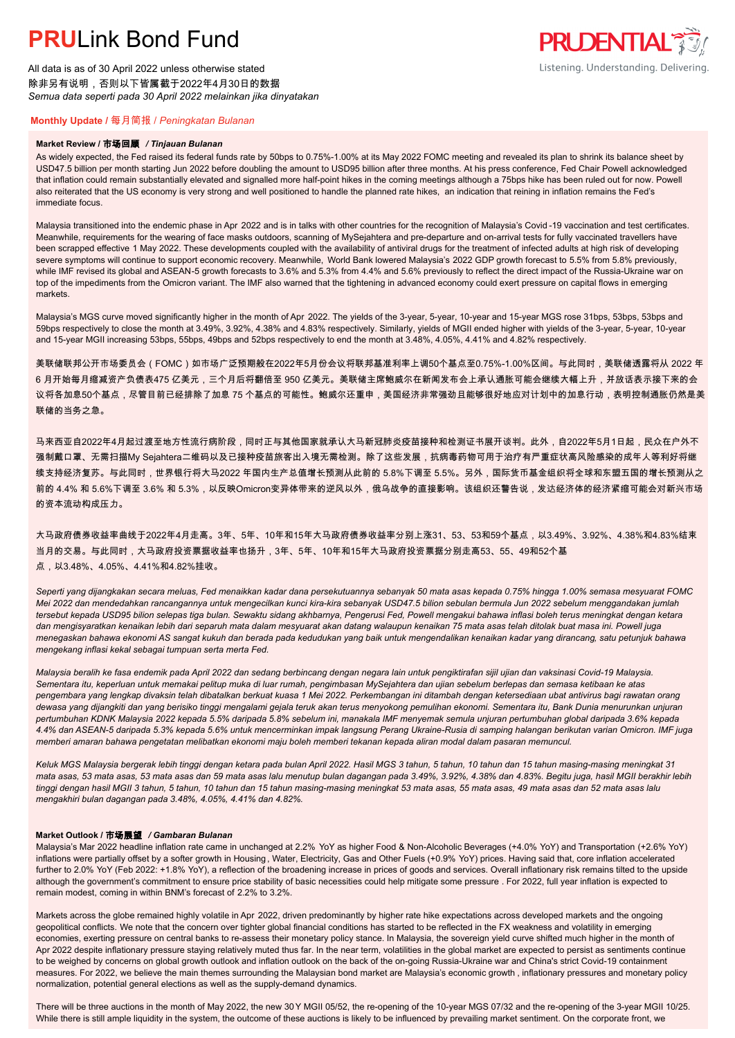All data is as of 30 April 2022 unless otherwise stated 除非另有说明,否则以下皆属截于2022年4月30日的数据 *Semua data seperti pada 30 April 2022 melainkan jika dinyatakan*

## **PRUDENTIAL** Listening. Understanding. Delivering.

### **Monthly Update /** 每月简报 / *Peningkatan Bulanan*

#### **Market Review /** 市场回顾 */ Tinjauan Bulanan*

As widely expected, the Fed raised its federal funds rate by 50bps to 0.75%-1.00% at its May 2022 FOMC meeting and revealed its plan to shrink its balance sheet by USD47.5 billion per month starting Jun 2022 before doubling the amount to USD95 billion after three months. At his press conference, Fed Chair Powell acknowledged that inflation could remain substantially elevated and signalled more half-point hikes in the coming meetings although a 75bps hike has been ruled out for now. Powell also reiterated that the US economy is very strong and well positioned to handle the planned rate hikes, an indication that reining in inflation remains the Fed's immediate focus.

Malaysia transitioned into the endemic phase in Apr 2022 and is in talks with other countries for the recognition of Malaysia's Covid-19 vaccination and test certificates. Meanwhile, requirements for the wearing of face masks outdoors, scanning of MySejahtera and pre-departure and on-arrival tests for fully vaccinated travellers have been scrapped effective 1 May 2022. These developments coupled with the availability of antiviral drugs for the treatment of infected adults at high risk of developing severe symptoms will continue to support economic recovery. Meanwhile, World Bank lowered Malaysia's 2022 GDP growth forecast to 5.5% from 5.8% previously, while IMF revised its global and ASEAN-5 growth forecasts to 3.6% and 5.3% from 4.4% and 5.6% previously to reflect the direct impact of the Russia-Ukraine war on top of the impediments from the Omicron variant. The IMF also warned that the tightening in advanced economy could exert pressure on capital flows in emerging markets.

Malaysia's MGS curve moved significantly higher in the month of Apr 2022. The yields of the 3-year, 5-year, 10-year and 15-year MGS rose 31bps, 53bps, 53bps and 59bps respectively to close the month at 3.49%, 3.92%, 4.38% and 4.83% respectively. Similarly, yields of MGII ended higher with yields of the 3-year, 5-year, 10-year and 15-year MGII increasing 53bps, 55bps, 49bps and 52bps respectively to end the month at 3.48%, 4.05%, 4.41% and 4.82% respectively.

美联储联邦公开市场委员会(FOMC)如市场广泛预期般在2022年5月份会议将联邦基准利率上调50个基点至0.75%-1.00%区间。与此同时,美联储透露将从 2022 年 6 月开始每月缩减资产负债表475 亿美元,三个月后将翻倍至 950 亿美元。美联储主席鲍威尔在新闻发布会上承认通胀可能会继续大幅上升,并放话表示接下来的会 议将各加息50个基点,尽管目前已经排除了加息 75 个基点的可能性。鲍威尔还重申,美国经济非常强劲且能够很好地应对计划中的加息行动,表明控制通胀仍然是美 联储的当务之急。

马来西亚自2022年4月起过渡至地方性流行病阶段,同时正与其他国家就承认大马新冠肺炎疫苗接种和检测证书展开谈判。此外,自2022年5月1日起,民众在户外不 强制戴口罩、无需扫描My Sejahtera二维码以及已接种疫苗旅客出入境无需检测。除了这些发展,抗病毒药物可用于治疗有严重症状高风险感染的成年人等利好将继 续支持经济复苏。与此同时,世界银行将大马2022 年国内生产总值增长预测从此前的 5.8%下调至 5.5%。另外,国际货币基金组织将全球和东盟五国的增长预测从之 前的 4.4% 和 5.6%下调至 3.6% 和 5.3%,以反映Omicron变异体带来的逆风以外,俄乌战争的直接影响。该组织还警告说,发达经济体的经济紧缩可能会对新兴市场 的资本流动构成压力。

大马政府债券收益率曲线于2022年4月走高。3年、5年、10年和15年大马政府债券收益率分别上涨31、53、53和59个基点,以3.49%、3.92%、4.38%和4.83%结束 当月的交易。与此同时,大马政府投资票据收益率也扬升,3年、5年、10年和15年大马政府投资票据分别走高53、55、49和52个基 点,以3.48%、4.05%、4.41%和4.82%挂收。

*Seperti yang dijangkakan secara meluas, Fed menaikkan kadar dana persekutuannya sebanyak 50 mata asas kepada 0.75% hingga 1.00% semasa mesyuarat FOMC Mei 2022 dan mendedahkan rancangannya untuk mengecilkan kunci kira-kira sebanyak USD47.5 bilion sebulan bermula Jun 2022 sebelum menggandakan jumlah tersebut kepada USD95 bilion selepas tiga bulan. Sewaktu sidang akhbarnya, Pengerusi Fed, Powell mengakui bahawa inflasi boleh terus meningkat dengan ketara dan mengisyaratkan kenaikan lebih dari separuh mata dalam mesyuarat akan datang walaupun kenaikan 75 mata asas telah ditolak buat masa ini. Powell juga menegaskan bahawa ekonomi AS sangat kukuh dan berada pada kedudukan yang baik untuk mengendalikan kenaikan kadar yang dirancang, satu petunjuk bahawa mengekang inflasi kekal sebagai tumpuan serta merta Fed.*

*Malaysia beralih ke fasa endemik pada April 2022 dan sedang berbincang dengan negara lain untuk pengiktirafan sijil ujian dan vaksinasi Covid-19 Malaysia. Sementara itu, keperluan untuk memakai pelitup muka di luar rumah, pengimbasan MySejahtera dan ujian sebelum berlepas dan semasa ketibaan ke atas pengembara yang lengkap divaksin telah dibatalkan berkuat kuasa 1 Mei 2022. Perkembangan ini ditambah dengan ketersediaan ubat antivirus bagi rawatan orang dewasa yang dijangkiti dan yang berisiko tinggi mengalami gejala teruk akan terus menyokong pemulihan ekonomi. Sementara itu, Bank Dunia menurunkan unjuran pertumbuhan KDNK Malaysia 2022 kepada 5.5% daripada 5.8% sebelum ini, manakala IMF menyemak semula unjuran pertumbuhan global daripada 3.6% kepada 4.4% dan ASEAN-5 daripada 5.3% kepada 5.6% untuk mencerminkan impak langsung Perang Ukraine-Rusia di samping halangan berikutan varian Omicron. IMF juga memberi amaran bahawa pengetatan melibatkan ekonomi maju boleh memberi tekanan kepada aliran modal dalam pasaran memuncul.*

*Keluk MGS Malaysia bergerak lebih tinggi dengan ketara pada bulan April 2022. Hasil MGS 3 tahun, 5 tahun, 10 tahun dan 15 tahun masing-masing meningkat 31 mata asas, 53 mata asas, 53 mata asas dan 59 mata asas lalu menutup bulan dagangan pada 3.49%, 3.92%, 4.38% dan 4.83%. Begitu juga, hasil MGII berakhir lebih tinggi dengan hasil MGII 3 tahun, 5 tahun, 10 tahun dan 15 tahun masing-masing meningkat 53 mata asas, 55 mata asas, 49 mata asas dan 52 mata asas lalu mengakhiri bulan dagangan pada 3.48%, 4.05%, 4.41% dan 4.82%.*

#### **Market Outlook /** 市场展望 */ Gambaran Bulanan*

Malaysia's Mar 2022 headline inflation rate came in unchanged at 2.2% YoY as higher Food & Non-Alcoholic Beverages (+4.0% YoY) and Transportation (+2.6% YoY) inflations were partially offset by a softer growth in Housing , Water, Electricity, Gas and Other Fuels (+0.9% YoY) prices. Having said that, core inflation accelerated further to 2.0% YoY (Feb 2022: +1.8% YoY), a reflection of the broadening increase in prices of goods and services. Overall inflationary risk remains tilted to the upside although the government's commitment to ensure price stability of basic necessities could help mitigate some pressure . For 2022, full year inflation is expected to remain modest, coming in within BNM's forecast of 2.2% to 3.2%.

Markets across the globe remained highly volatile in Apr 2022, driven predominantly by higher rate hike expectations across developed markets and the ongoing geopolitical conflicts. We note that the concern over tighter global financial conditions has started to be reflected in the FX weakness and volatility in emerging economies, exerting pressure on central banks to re-assess their monetary policy stance. In Malaysia, the sovereign yield curve shifted much higher in the month of Apr 2022 despite inflationary pressure staying relatively muted thus far. In the near term, volatilities in the global market are expected to persist as sentiments continue to be weighed by concerns on global growth outlook and inflation outlook on the back of the on-going Russia-Ukraine war and China's strict Covid-19 containment measures. For 2022, we believe the main themes surrounding the Malaysian bond market are Malaysia's economic growth , inflationary pressures and monetary policy normalization, potential general elections as well as the supply-demand dynamics.

There will be three auctions in the month of May 2022, the new 30 Y MGII 05/52, the re-opening of the 10-year MGS 07/32 and the re-opening of the 3-year MGII 10/25. While there is still ample liquidity in the system, the outcome of these auctions is likely to be influenced by prevailing market sentiment. On the corporate front, we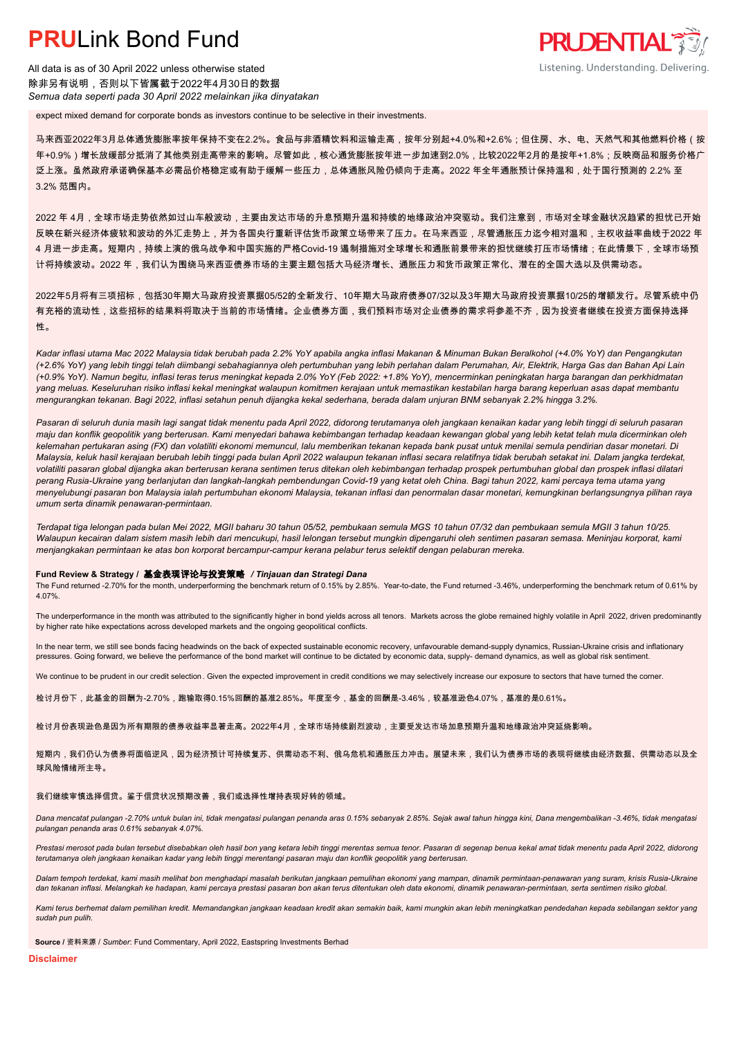All data is as of 30 April 2022 unless otherwise stated 除非另有说明,否则以下皆属截于2022年4月30日的数据 *Semua data seperti pada 30 April 2022 melainkan jika dinyatakan*

expect mixed demand for corporate bonds as investors continue to be selective in their investments.

马来西亚2022年3月总体通货膨胀率按年保持不变在2.2%。食品与非酒精饮料和运输走高,按年分别起+4.0%和+2.6%;但住房、水、电、天然气和其他燃料价格(按 年+0.9%)增长放缓部分抵消了其他类别走高带来的影响。尽管如此,核心通货膨胀按年进一步加速到2.0%,比较2022年2月的是按年+1.8%;反映商品和服务价格广 泛上涨。虽然政府承诺确保基本必需品价格稳定或有助于缓解一些压力,总体通胀风险仍倾向于走高。2022 年全年通胀预计保持温和,处于国行预测的 2.2% 至 3.2% 范围内。

**PRUDENTIAL** 

Listening. Understanding. Delivering.

2022 年 4月,全球市场走势依然如过山车般波动,主要由发达市场的升息预期升温和持续的地缘政治冲突驱动。我们注意到,市场对全球金融状况趋紧的担忧已开始 反映在新兴经济体疲软和波动的外汇走势上,并为各国央行重新评估货币政策立场带来了压力。在马来西亚,尽管通胀压力迄今相对温和,主权收益率曲线于2022 年 4 月进一步走高。短期内,持续上演的俄乌战争和中国实施的严格Covid-19 遏制措施对全球增长和通胀前景带来的担忧继续打压市场情绪;在此情景下,全球市场预 计将持续波动。2022 年,我们认为围绕马来西亚债券市场的主要主题包括大马经济增长、通胀压力和货币政策正常化、潜在的全国大选以及供需动态。

2022年5月将有三项招标,包括30年期大马政府投资票据05/52的全新发行、10年期大马政府债券07/32以及3年期大马政府投资票据10/25的增额发行。尽管系统中仍 有充裕的流动性,这些招标的结果料将取决于当前的市场情绪。企业债券方面,我们预料市场对企业债券的需求将参差不齐,因为投资者继续在投资方面保持选择 性。

*Kadar inflasi utama Mac 2022 Malaysia tidak berubah pada 2.2% YoY apabila angka inflasi Makanan & Minuman Bukan Beralkohol (+4.0% YoY) dan Pengangkutan (+2.6% YoY) yang lebih tinggi telah diimbangi sebahagiannya oleh pertumbuhan yang lebih perlahan dalam Perumahan, Air, Elektrik, Harga Gas dan Bahan Api Lain (+0.9% YoY). Namun begitu, inflasi teras terus meningkat kepada 2.0% YoY (Feb 2022: +1.8% YoY), mencerminkan peningkatan harga barangan dan perkhidmatan yang meluas. Keseluruhan risiko inflasi kekal meningkat walaupun komitmen kerajaan untuk memastikan kestabilan harga barang keperluan asas dapat membantu mengurangkan tekanan. Bagi 2022, inflasi setahun penuh dijangka kekal sederhana, berada dalam unjuran BNM sebanyak 2.2% hingga 3.2%.*

*Pasaran di seluruh dunia masih lagi sangat tidak menentu pada April 2022, didorong terutamanya oleh jangkaan kenaikan kadar yang lebih tinggi di seluruh pasaran maju dan konflik geopolitik yang berterusan. Kami menyedari bahawa kebimbangan terhadap keadaan kewangan global yang lebih ketat telah mula dicerminkan oleh kelemahan pertukaran asing (FX) dan volatiliti ekonomi memuncul, lalu memberikan tekanan kepada bank pusat untuk menilai semula pendirian dasar monetari. Di Malaysia, keluk hasil kerajaan berubah lebih tinggi pada bulan April 2022 walaupun tekanan inflasi secara relatifnya tidak berubah setakat ini. Dalam jangka terdekat, volatiliti pasaran global dijangka akan berterusan kerana sentimen terus ditekan oleh kebimbangan terhadap prospek pertumbuhan global dan prospek inflasi dilatari perang Rusia-Ukraine yang berlanjutan dan langkah-langkah pembendungan Covid-19 yang ketat oleh China. Bagi tahun 2022, kami percaya tema utama yang menyelubungi pasaran bon Malaysia ialah pertumbuhan ekonomi Malaysia, tekanan inflasi dan penormalan dasar monetari, kemungkinan berlangsungnya pilihan raya umum serta dinamik penawaran-permintaan.*

*Terdapat tiga lelongan pada bulan Mei 2022, MGII baharu 30 tahun 05/52, pembukaan semula MGS 10 tahun 07/32 dan pembukaan semula MGII 3 tahun 10/25. Walaupun kecairan dalam sistem masih lebih dari mencukupi, hasil lelongan tersebut mungkin dipengaruhi oleh sentimen pasaran semasa. Meninjau korporat, kami menjangkakan permintaan ke atas bon korporat bercampur-campur kerana pelabur terus selektif dengan pelaburan mereka.*

#### **Fund Review & Strategy /** 基金表现评论与投资策略 */ Tinjauan dan Strategi Dana*

The Fund returned -2.70% for the month, underperforming the benchmark return of 0.15% by 2.85%. Year-to-date, the Fund returned -3.46%, underperforming the benchmark return of 0.61% by 4.07%.

The underperformance in the month was attributed to the significantly higher in bond yields across all tenors. Markets across the globe remained highly volatile in April 2022, driven predominantly by higher rate hike expectations across developed markets and the ongoing geopolitical conflicts.

In the near term, we still see bonds facing headwinds on the back of expected sustainable economic recovery, unfavourable demand-supply dynamics, Russian-Ukraine crisis and inflationary pressures. Going forward, we believe the performance of the bond market will continue to be dictated by economic data, supply- demand dynamics, as well as global risk sentiment.

We continue to be prudent in our credit selection. Given the expected improvement in credit conditions we may selectively increase our exposure to sectors that have turned the corner.

检讨月份下,此基金的回酬为-2.70%,跑输取得0.15%回酬的基准2.85%。年度至今,基金的回酬是-3.46%,较基准逊色4.07%,基准的是0.61%。

检讨月份表现逊色是因为所有期限的债券收益率显著走高。2022年4月,全球市场持续剧烈波动,主要受发达市场加息预期升温和地缘政治冲突延烧影响。

短期内,我们仍认为债券将面临逆风,因为经济预计可持续复苏、供需动态不利、俄乌危机和通胀压力冲击。展望未来,我们认为债券市场的表现将继续由经济数据、供需动态以及全 球风险情绪所主导。

#### 我们继续审慎选择信贷。鉴于信贷状况预期改善,我们或选择性增持表现好转的领域。

*Dana mencatat pulangan -2.70% untuk bulan ini, tidak mengatasi pulangan penanda aras 0.15% sebanyak 2.85%. Sejak awal tahun hingga kini, Dana mengembalikan -3.46%, tidak mengatasi pulangan penanda aras 0.61% sebanyak 4.07%.*

Prestasi merosot pada bulan tersebut disebabkan oleh hasil bon yang ketara lebih tinggi merentas semua tenor. Pasaran di segenap benua kekal amat tidak menentu pada April 2022, didorong *terutamanya oleh jangkaan kenaikan kadar yang lebih tinggi merentangi pasaran maju dan konflik geopolitik yang berterusan.*

*Dalam tempoh terdekat, kami masih melihat bon menghadapi masalah berikutan jangkaan pemulihan ekonomi yang mampan, dinamik permintaan-penawaran yang suram, krisis Rusia-Ukraine dan tekanan inflasi. Melangkah ke hadapan, kami percaya prestasi pasaran bon akan terus ditentukan oleh data ekonomi, dinamik penawaran-permintaan, serta sentimen risiko global.*

*Kami terus berhemat dalam pemilihan kredit. Memandangkan jangkaan keadaan kredit akan semakin baik, kami mungkin akan lebih meningkatkan pendedahan kepada sebilangan sektor yang sudah pun pulih.*

**Source /** 资料来源 / *Sumber*: Fund Commentary, April 2022, Eastspring Investments Berhad

**Disclaimer**